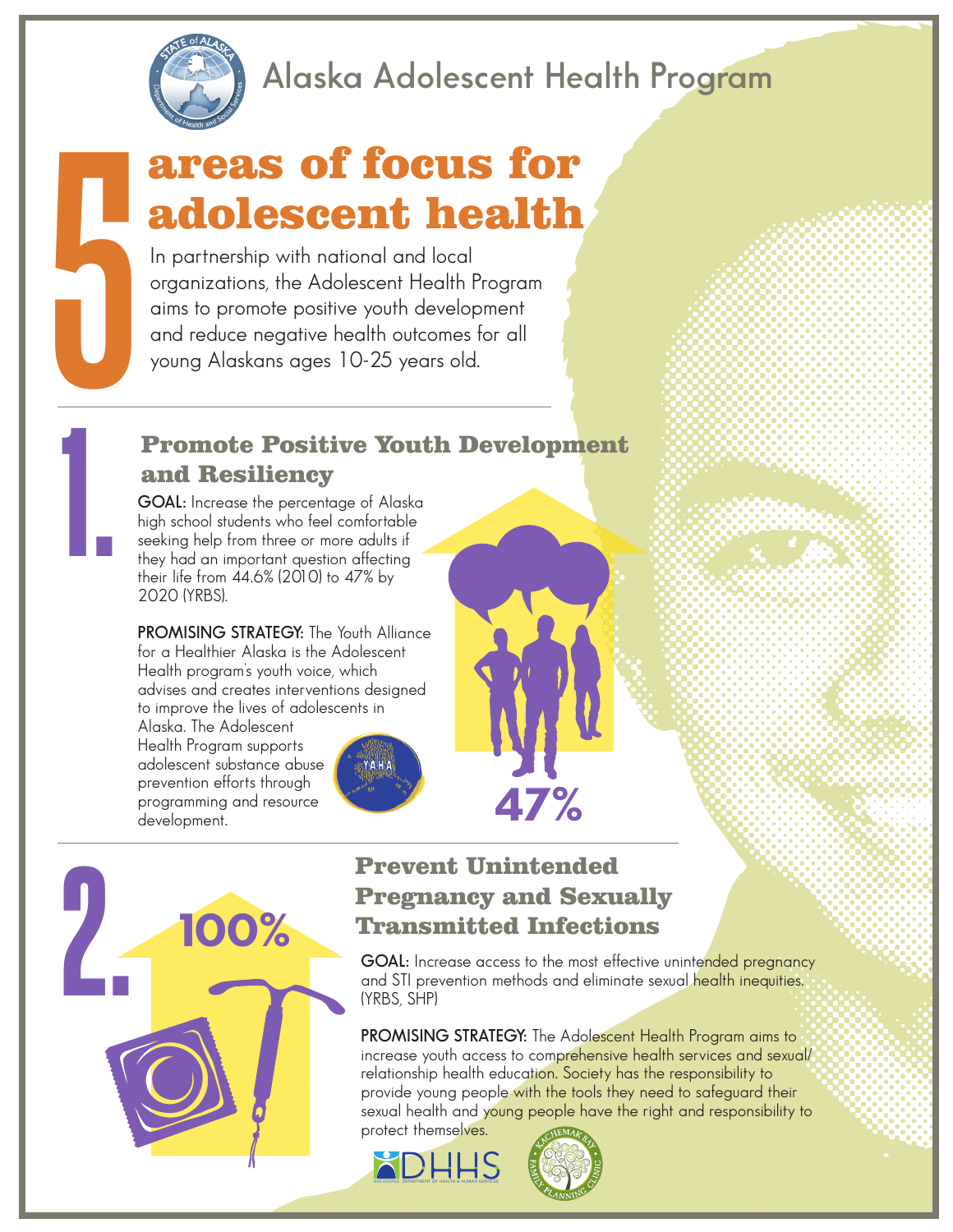

1.

### **Alaska Adolescent Health Program**

# areas of focus for adolescent health

In partnership with national and local organizations, the Adolescent Health Program aims to promote positive youth development and reduce negative health outcomes for all young Alaskans ages 10-25 years old.

### Promote Positive Youth Development and Resiliency

**GOAL:** Increase the percentage of Alaska high school students who feel comfortable seeking help from three or more adults if they had an important question affecting their life from 44.6% (2010) to 47% by 2020 (YRBS).

**PROMISING STRATEGY:** The Youth Alliance for a Healthier Alaska is the Adolescent Health program's youth voice, which advises and creates interventions designed to improve the lives of adolescents in

Alaska. The Adolescent Health Program supports adolescent substance abuse prevention efforts through programming and resource development.





## Pregnancy and Sexually Transmitted Infections

**47%**

**GOAL:** Increase access to the most effective unintended pregnancy and STI prevention methods and eliminate sexual health inequities. (YRBS, SHP)

**PROMISING STRATEGY:** The Adolescent Health Program aims to increase youth access to comprehensive health services and sexual/ relationship health education. Society has the responsibility to provide young people with the tools they need to safeguard their sexual health and young people have the right and responsibility to protect themselves.